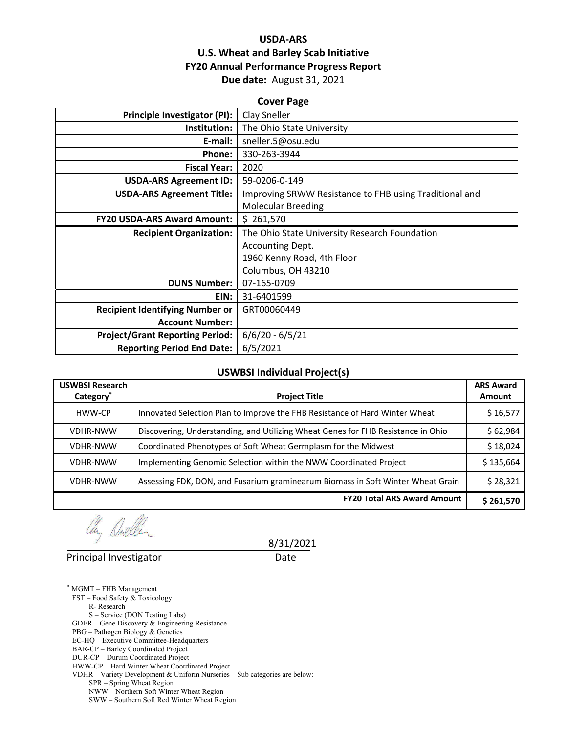## **USDA‐ARS U.S. Wheat and Barley Scab Initiative FY20 Annual Performance Progress Report Due date:** August 31, 2021

#### **Cover Page**

| Principle Investigator (PI):           | Clay Sneller                                           |  |  |  |
|----------------------------------------|--------------------------------------------------------|--|--|--|
| Institution:                           | The Ohio State University                              |  |  |  |
| E-mail:                                | sneller.5@osu.edu                                      |  |  |  |
| Phone:                                 | 330-263-3944                                           |  |  |  |
| <b>Fiscal Year:</b>                    | 2020                                                   |  |  |  |
| <b>USDA-ARS Agreement ID:</b>          | 59-0206-0-149                                          |  |  |  |
| <b>USDA-ARS Agreement Title:</b>       | Improving SRWW Resistance to FHB using Traditional and |  |  |  |
|                                        | <b>Molecular Breeding</b>                              |  |  |  |
| <b>FY20 USDA-ARS Award Amount:</b>     | \$261,570                                              |  |  |  |
| <b>Recipient Organization:</b>         | The Ohio State University Research Foundation          |  |  |  |
|                                        | Accounting Dept.                                       |  |  |  |
|                                        | 1960 Kenny Road, 4th Floor                             |  |  |  |
|                                        | Columbus, OH 43210                                     |  |  |  |
| <b>DUNS Number:</b>                    | 07-165-0709                                            |  |  |  |
| EIN:                                   | 31-6401599                                             |  |  |  |
| <b>Recipient Identifying Number or</b> | GRT00060449                                            |  |  |  |
| <b>Account Number:</b>                 |                                                        |  |  |  |
| <b>Project/Grant Reporting Period:</b> | $6/6/20 - 6/5/21$                                      |  |  |  |
| <b>Reporting Period End Date:</b>      | 6/5/2021                                               |  |  |  |
|                                        |                                                        |  |  |  |

#### **USWBSI Individual Project(s)**

| <b>USWBSI Research</b> |                                                                                  | <b>ARS Award</b> |
|------------------------|----------------------------------------------------------------------------------|------------------|
| Category <sup>*</sup>  | <b>Project Title</b>                                                             | <b>Amount</b>    |
| HWW-CP                 | Innovated Selection Plan to Improve the FHB Resistance of Hard Winter Wheat      | \$16,577         |
| <b>VDHR-NWW</b>        | Discovering, Understanding, and Utilizing Wheat Genes for FHB Resistance in Ohio | \$62,984         |
| <b>VDHR-NWW</b>        | Coordinated Phenotypes of Soft Wheat Germplasm for the Midwest                   | \$18,024         |
| <b>VDHR-NWW</b>        | Implementing Genomic Selection within the NWW Coordinated Project                | \$135,664        |
| <b>VDHR-NWW</b>        | Assessing FDK, DON, and Fusarium graminearum Biomass in Soft Winter Wheat Grain  | \$28,321         |
|                        | <b>FY20 Total ARS Award Amount</b>                                               | \$261,570        |

any Aneller

Principal Investigator **Date** 

8/31/2021

\* MGMT – FHB Management

 $\overline{a}$ 

FST – Food Safety & Toxicology R- Research

S – Service (DON Testing Labs)

GDER – Gene Discovery & Engineering Resistance

PBG – Pathogen Biology & Genetics

EC-HQ – Executive Committee-Headquarters

- BAR-CP Barley Coordinated Project
- DUR-CP Durum Coordinated Project

HWW-CP – Hard Winter Wheat Coordinated Project

VDHR – Variety Development & Uniform Nurseries – Sub categories are below:

SPR – Spring Wheat Region

 NWW – Northern Soft Winter Wheat Region SWW – Southern Soft Red Winter Wheat Region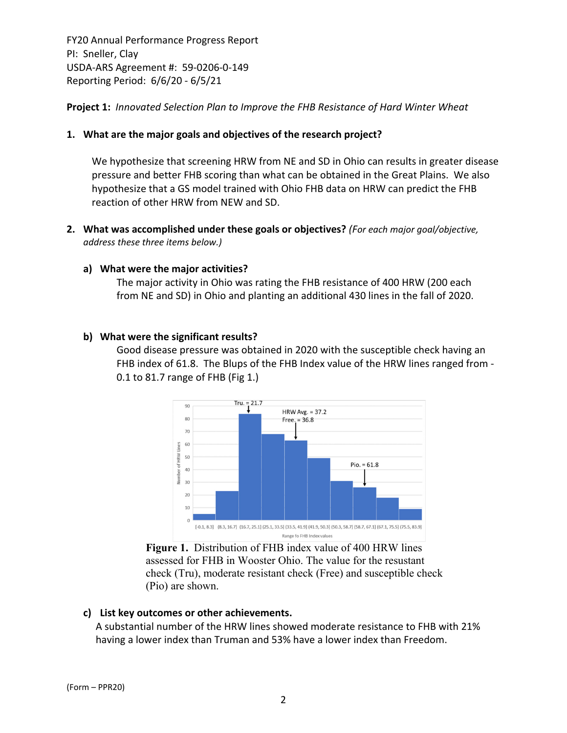**Project 1:** *Innovated Selection Plan to Improve the FHB Resistance of Hard Winter Wheat*

#### **1. What are the major goals and objectives of the research project?**

We hypothesize that screening HRW from NE and SD in Ohio can results in greater disease pressure and better FHB scoring than what can be obtained in the Great Plains. We also hypothesize that a GS model trained with Ohio FHB data on HRW can predict the FHB reaction of other HRW from NEW and SD.

**2. What was accomplished under these goals or objectives?** *(For each major goal/objective, address these three items below.)*

#### **a) What were the major activities?**

The major activity in Ohio was rating the FHB resistance of 400 HRW (200 each from NE and SD) in Ohio and planting an additional 430 lines in the fall of 2020.

#### **b) What were the significant results?**

Good disease pressure was obtained in 2020 with the susceptible check having an FHB index of 61.8. The Blups of the FHB Index value of the HRW lines ranged from ‐ 0.1 to 81.7 range of FHB (Fig 1.)



**Figure 1.** Distribution of FHB index value of 400 HRW lines assessed for FHB in Wooster Ohio. The value for the resustant check (Tru), moderate resistant check (Free) and susceptible check (Pio) are shown.

#### **c) List key outcomes or other achievements.**

A substantial number of the HRW lines showed moderate resistance to FHB with 21% having a lower index than Truman and 53% have a lower index than Freedom.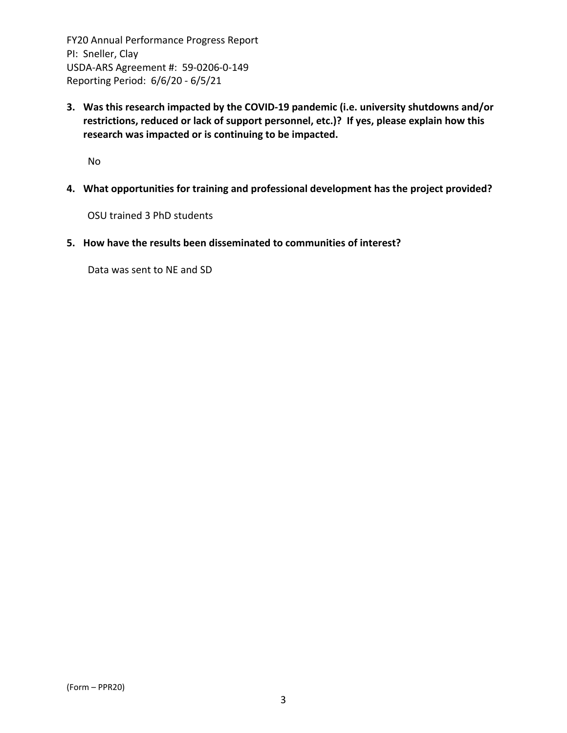**3. Was this research impacted by the COVID‐19 pandemic (i.e. university shutdowns and/or restrictions, reduced or lack of support personnel, etc.)? If yes, please explain how this research was impacted or is continuing to be impacted.**

No

**4. What opportunities for training and professional development has the project provided?**

OSU trained 3 PhD students

**5. How have the results been disseminated to communities of interest?**

Data was sent to NE and SD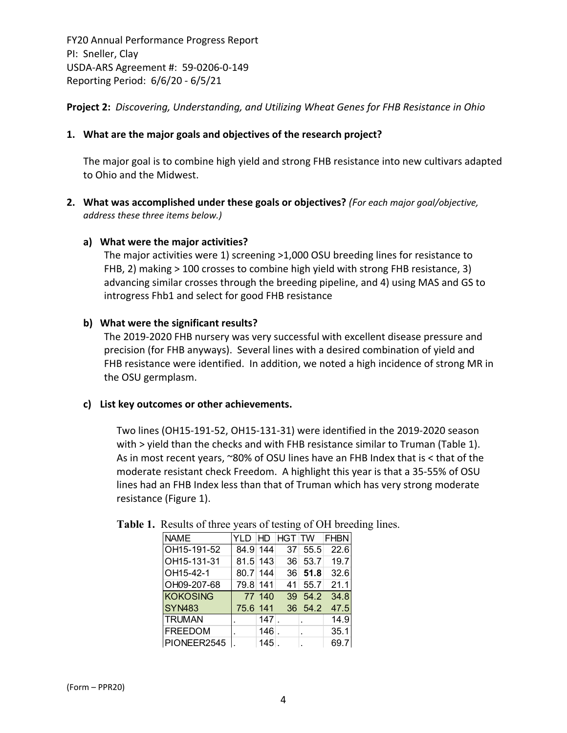**Project 2:** *Discovering, Understanding, and Utilizing Wheat Genes for FHB Resistance in Ohio*

#### **1. What are the major goals and objectives of the research project?**

The major goal is to combine high yield and strong FHB resistance into new cultivars adapted to Ohio and the Midwest.

**2. What was accomplished under these goals or objectives?** *(For each major goal/objective, address these three items below.)*

#### **a) What were the major activities?**

The major activities were 1) screening >1,000 OSU breeding lines for resistance to FHB, 2) making > 100 crosses to combine high yield with strong FHB resistance, 3) advancing similar crosses through the breeding pipeline, and 4) using MAS and GS to introgress Fhb1 and select for good FHB resistance

#### **b) What were the significant results?**

The 2019‐2020 FHB nursery was very successful with excellent disease pressure and precision (for FHB anyways). Several lines with a desired combination of yield and FHB resistance were identified. In addition, we noted a high incidence of strong MR in the OSU germplasm.

#### **c) List key outcomes or other achievements.**

Two lines (OH15‐191‐52, OH15‐131‐31) were identified in the 2019‐2020 season with > yield than the checks and with FHB resistance similar to Truman (Table 1). As in most recent years, ~80% of OSU lines have an FHB Index that is < that of the moderate resistant check Freedom. A highlight this year is that a 35‐55% of OSU lines had an FHB Index less than that of Truman which has very strong moderate resistance (Figure 1).

| <b>NAME</b>        |          |         |    |                | YLD HD HGT TW FHBN |
|--------------------|----------|---------|----|----------------|--------------------|
| OH15-191-52        | 84.9 144 |         |    | $37 \mid 55.5$ | 22.6               |
| OH15-131-31        | 81.5 143 |         |    | 36 53.7        | 19.7               |
| OH15-42-1          | 80.7 144 |         |    | 36 51.8        | 32.6               |
| OH09-207-68        | 79.8 141 |         | 41 | 55.7           | 21.1               |
| <b>KOKOSING</b>    |          | 77 140  |    | 39 54.2        | 34.8               |
| SYN <sub>483</sub> | 75.6 141 |         |    | 36 54.2        | 47.5               |
| <b>TRUMAN</b>      |          | $147$ . |    | $\mathbf{r}$   | 14.9               |
| <b>FREEDOM</b>     |          | $146$ . |    |                | 35.1               |
| PIONEER2545        |          | $145$ . |    |                | 69.7               |

## **Table 1.** Results of three years of testing of OH breeding lines.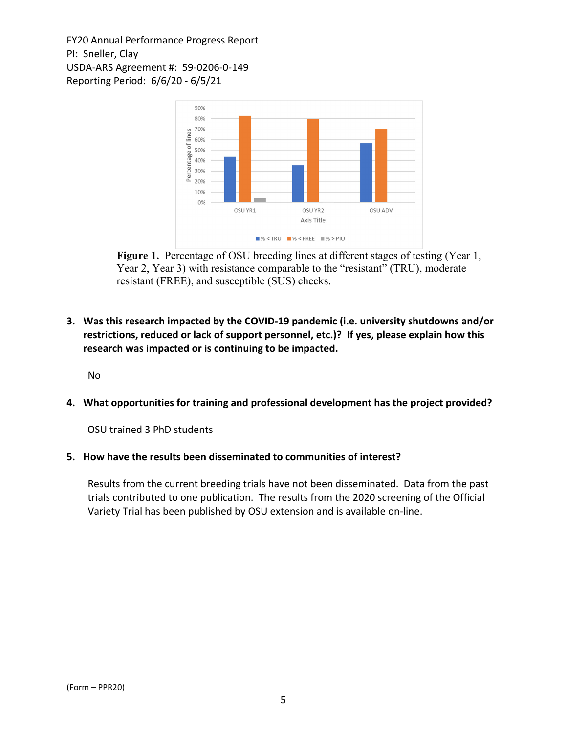

**Figure 1.** Percentage of OSU breeding lines at different stages of testing (Year 1, Year 2, Year 3) with resistance comparable to the "resistant" (TRU), moderate resistant (FREE), and susceptible (SUS) checks.

**3. Was this research impacted by the COVID‐19 pandemic (i.e. university shutdowns and/or restrictions, reduced or lack of support personnel, etc.)? If yes, please explain how this research was impacted or is continuing to be impacted.**

No

**4. What opportunities for training and professional development has the project provided?**

OSU trained 3 PhD students

**5. How have the results been disseminated to communities of interest?**

Results from the current breeding trials have not been disseminated. Data from the past trials contributed to one publication. The results from the 2020 screening of the Official Variety Trial has been published by OSU extension and is available on‐line.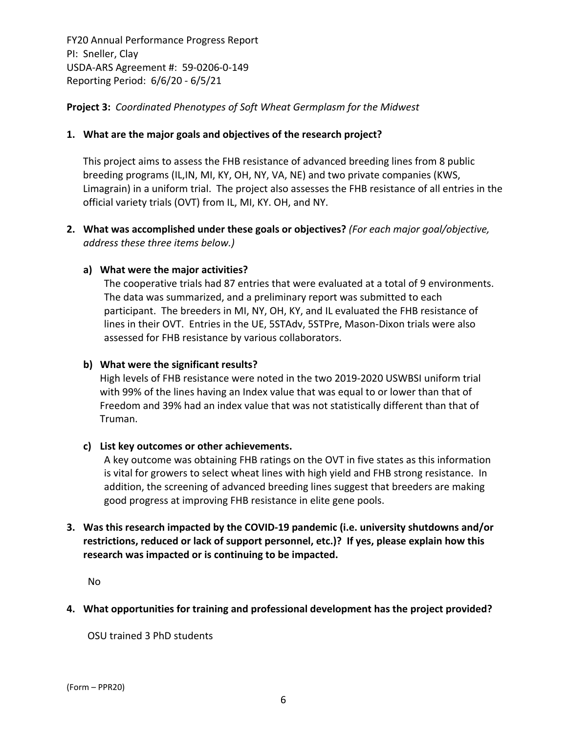**Project 3:** *Coordinated Phenotypes of Soft Wheat Germplasm for the Midwest*

#### **1. What are the major goals and objectives of the research project?**

This project aims to assess the FHB resistance of advanced breeding lines from 8 public breeding programs (IL,IN, MI, KY, OH, NY, VA, NE) and two private companies (KWS, Limagrain) in a uniform trial. The project also assesses the FHB resistance of all entries in the official variety trials (OVT) from IL, MI, KY. OH, and NY.

**2. What was accomplished under these goals or objectives?** *(For each major goal/objective, address these three items below.)*

#### **a) What were the major activities?**

The cooperative trials had 87 entries that were evaluated at a total of 9 environments. The data was summarized, and a preliminary report was submitted to each participant. The breeders in MI, NY, OH, KY, and IL evaluated the FHB resistance of lines in their OVT. Entries in the UE, 5STAdv, 5STPre, Mason‐Dixon trials were also assessed for FHB resistance by various collaborators.

#### **b) What were the significant results?**

High levels of FHB resistance were noted in the two 2019‐2020 USWBSI uniform trial with 99% of the lines having an Index value that was equal to or lower than that of Freedom and 39% had an index value that was not statistically different than that of Truman.

#### **c) List key outcomes or other achievements.**

A key outcome was obtaining FHB ratings on the OVT in five states as this information is vital for growers to select wheat lines with high yield and FHB strong resistance. In addition, the screening of advanced breeding lines suggest that breeders are making good progress at improving FHB resistance in elite gene pools.

## **3. Was this research impacted by the COVID‐19 pandemic (i.e. university shutdowns and/or restrictions, reduced or lack of support personnel, etc.)? If yes, please explain how this research was impacted or is continuing to be impacted.**

No

## **4. What opportunities for training and professional development has the project provided?**

OSU trained 3 PhD students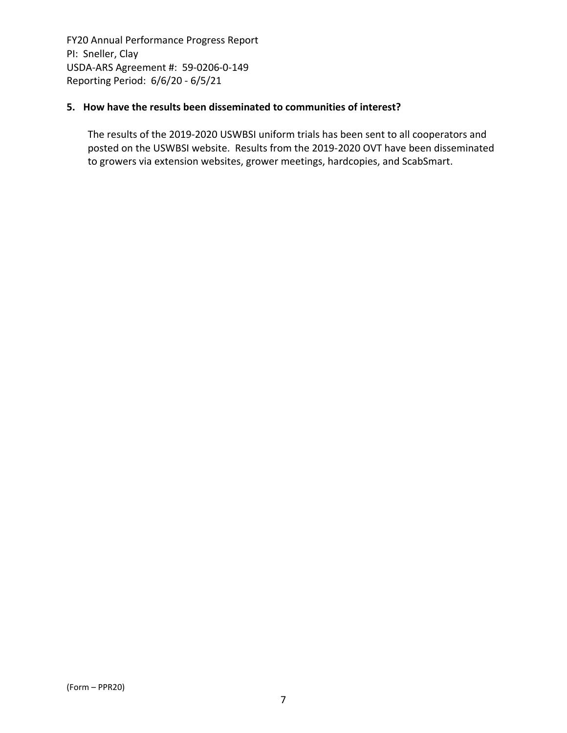#### **5. How have the results been disseminated to communities of interest?**

The results of the 2019‐2020 USWBSI uniform trials has been sent to all cooperators and posted on the USWBSI website. Results from the 2019‐2020 OVT have been disseminated to growers via extension websites, grower meetings, hardcopies, and ScabSmart.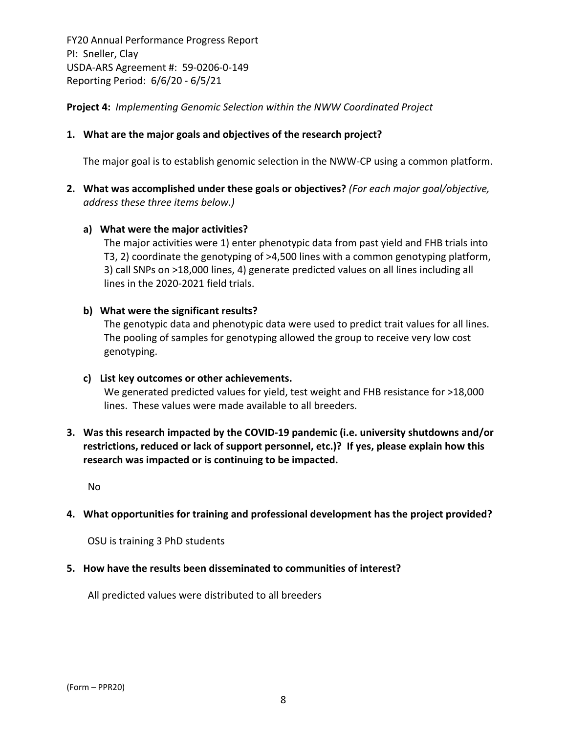**Project 4:** *Implementing Genomic Selection within the NWW Coordinated Project*

#### **1. What are the major goals and objectives of the research project?**

The major goal is to establish genomic selection in the NWW‐CP using a common platform.

**2. What was accomplished under these goals or objectives?** *(For each major goal/objective, address these three items below.)*

#### **a) What were the major activities?**

The major activities were 1) enter phenotypic data from past yield and FHB trials into T3, 2) coordinate the genotyping of >4,500 lines with a common genotyping platform, 3) call SNPs on >18,000 lines, 4) generate predicted values on all lines including all lines in the 2020‐2021 field trials.

#### **b) What were the significant results?**

The genotypic data and phenotypic data were used to predict trait values for all lines. The pooling of samples for genotyping allowed the group to receive very low cost genotyping.

#### **c) List key outcomes or other achievements.**

We generated predicted values for yield, test weight and FHB resistance for >18,000 lines. These values were made available to all breeders.

**3. Was this research impacted by the COVID‐19 pandemic (i.e. university shutdowns and/or restrictions, reduced or lack of support personnel, etc.)? If yes, please explain how this research was impacted or is continuing to be impacted.**

No

#### **4. What opportunities for training and professional development has the project provided?**

OSU is training 3 PhD students

#### **5. How have the results been disseminated to communities of interest?**

All predicted values were distributed to all breeders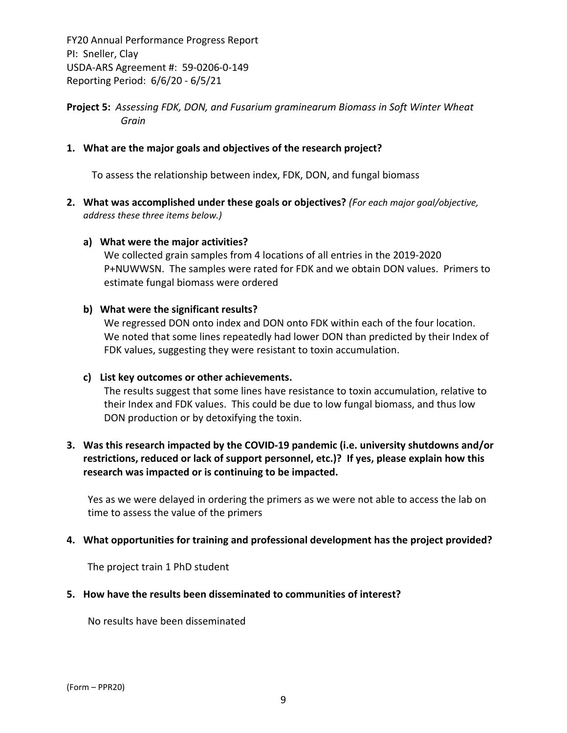**Project 5:** *Assessing FDK, DON, and Fusarium graminearum Biomass in Soft Winter Wheat Grain*

#### **1. What are the major goals and objectives of the research project?**

To assess the relationship between index, FDK, DON, and fungal biomass

**2. What was accomplished under these goals or objectives?** *(For each major goal/objective, address these three items below.)*

#### **a) What were the major activities?**

We collected grain samples from 4 locations of all entries in the 2019‐2020 P+NUWWSN. The samples were rated for FDK and we obtain DON values. Primers to estimate fungal biomass were ordered

#### **b) What were the significant results?**

We regressed DON onto index and DON onto FDK within each of the four location. We noted that some lines repeatedly had lower DON than predicted by their Index of FDK values, suggesting they were resistant to toxin accumulation.

#### **c) List key outcomes or other achievements.**

The results suggest that some lines have resistance to toxin accumulation, relative to their Index and FDK values. This could be due to low fungal biomass, and thus low DON production or by detoxifying the toxin.

## **3. Was this research impacted by the COVID‐19 pandemic (i.e. university shutdowns and/or restrictions, reduced or lack of support personnel, etc.)? If yes, please explain how this research was impacted or is continuing to be impacted.**

Yes as we were delayed in ordering the primers as we were not able to access the lab on time to assess the value of the primers

#### **4. What opportunities for training and professional development has the project provided?**

The project train 1 PhD student

#### **5. How have the results been disseminated to communities of interest?**

No results have been disseminated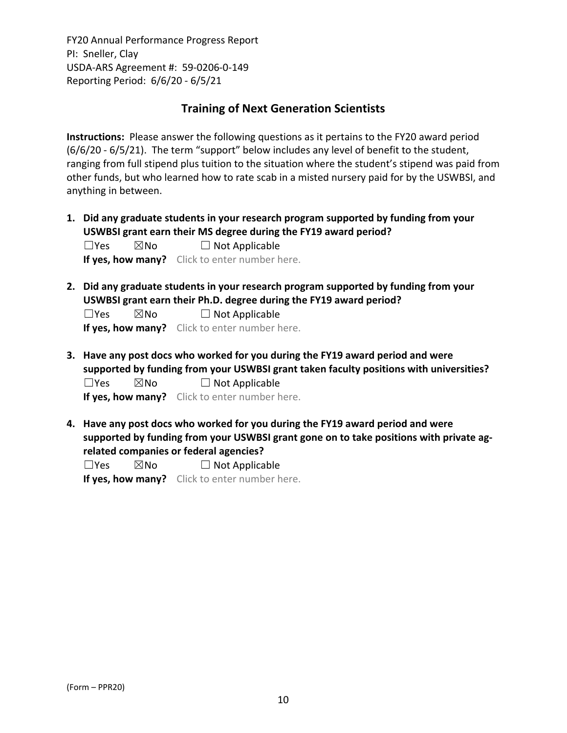## **Training of Next Generation Scientists**

**Instructions:** Please answer the following questions as it pertains to the FY20 award period (6/6/20 ‐ 6/5/21). The term "support" below includes any level of benefit to the student, ranging from full stipend plus tuition to the situation where the student's stipend was paid from other funds, but who learned how to rate scab in a misted nursery paid for by the USWBSI, and anything in between.

**1. Did any graduate students in your research program supported by funding from your USWBSI grant earn their MS degree during the FY19 award period?**  $\Box$ Yes  $\boxtimes$ No  $\Box$  Not Applicable

**If yes, how many?** Click to enter number here.

**2. Did any graduate students in your research program supported by funding from your USWBSI grant earn their Ph.D. degree during the FY19 award period?**

 $\Box$ Yes  $\boxtimes$ No  $\Box$  Not Applicable

**If yes, how many?** Click to enter number here.

**3. Have any post docs who worked for you during the FY19 award period and were supported by funding from your USWBSI grant taken faculty positions with universities?**  $\Box$ Yes  $\boxtimes$ No  $\Box$  Not Applicable

**If yes, how many?** Click to enter number here.

**4. Have any post docs who worked for you during the FY19 award period and were supported by funding from your USWBSI grant gone on to take positions with private ag‐ related companies or federal agencies?**

 $\square$ Yes  $\square$ No  $\square$  Not Applicable

**If yes, how many?** Click to enter number here.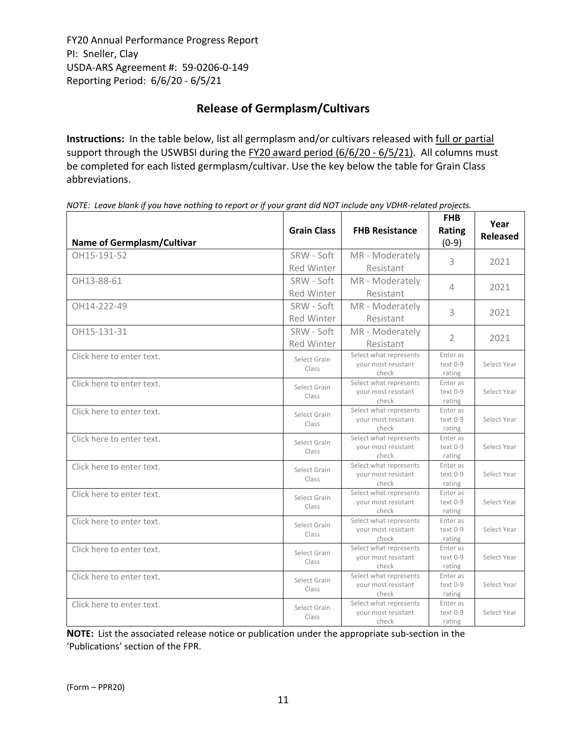# **Release of Germplasm/Cultivars**

**Instructions:** In the table below, list all germplasm and/or cultivars released with full or partial support through the USWBSI during the FY20 award period (6/6/20 - 6/5/21). All columns must be completed for each listed germplasm/cultivar. Use the key below the table for Grain Class abbreviations. 

| <b>Name of Germplasm/Cultivar</b> | <b>Grain Class</b>              | <b>FHB Resistance</b>                                  | <b>FHB</b><br>Rating<br>$(0-9)$ | Year<br><b>Released</b> |
|-----------------------------------|---------------------------------|--------------------------------------------------------|---------------------------------|-------------------------|
| OH15-191-52                       | SRW - Soft<br><b>Red Winter</b> | MR - Moderately<br>Resistant                           | 3                               | 2021                    |
| OH13-88-61                        | SRW - Soft<br><b>Red Winter</b> | MR - Moderately<br>Resistant                           | 4                               | 2021                    |
| OH14-222-49                       | SRW - Soft<br><b>Red Winter</b> | MR - Moderately<br>Resistant                           | 3                               | 2021                    |
| OH15-131-31                       | SRW - Soft<br><b>Red Winter</b> | MR - Moderately<br>Resistant                           | $\overline{2}$                  | 2021                    |
| Click here to enter text.         | Select Grain<br>Class           | Select what represents<br>your most resistant<br>check | Enter as<br>text 0-9<br>rating  | Select Year             |
| Click here to enter text.         | Select Grain<br>Class           | Select what represents<br>your most resistant<br>check | Enter as<br>text 0-9<br>rating  | Select Year             |
| Click here to enter text.         | Select Grain<br>Class           | Select what represents<br>your most resistant<br>check | Enter as<br>text 0-9<br>rating  | Select Year             |
| Click here to enter text.         | Select Grain<br>Class           | Select what represents<br>your most resistant<br>check | Enter as<br>text 0-9<br>rating  | Select Year             |
| Click here to enter text.         | Select Grain<br>Class           | Select what represents<br>your most resistant<br>check | Enter as<br>text 0-9<br>rating  | Select Year             |
| Click here to enter text.         | Select Grain<br>Class           | Select what represents<br>your most resistant<br>check | Enter as<br>text 0-9<br>rating  | Select Year             |
| Click here to enter text.         | Select Grain<br>Class           | Select what represents<br>your most resistant<br>check | Enter as<br>text 0-9<br>rating  | Select Year             |
| Click here to enter text.         | Select Grain<br>Class           | Select what represents<br>your most resistant<br>check | Enter as<br>text 0-9<br>rating  | Select Year             |
| Click here to enter text.         | Select Grain<br>Class           | Select what represents<br>your most resistant<br>check | Enter as<br>text 0-9<br>rating  | Select Year             |
| Click here to enter text.         | Select Grain<br>Class           | Select what represents<br>your most resistant<br>check | Enter as<br>text 0-9<br>rating  | Select Year             |

NOTE: Leave blank if you have nothing to report or if your grant did NOT include any VDHR-related projects.

**NOTE:** List the associated release notice or publication under the appropriate sub-section in the 'Publications' section of the FPR.